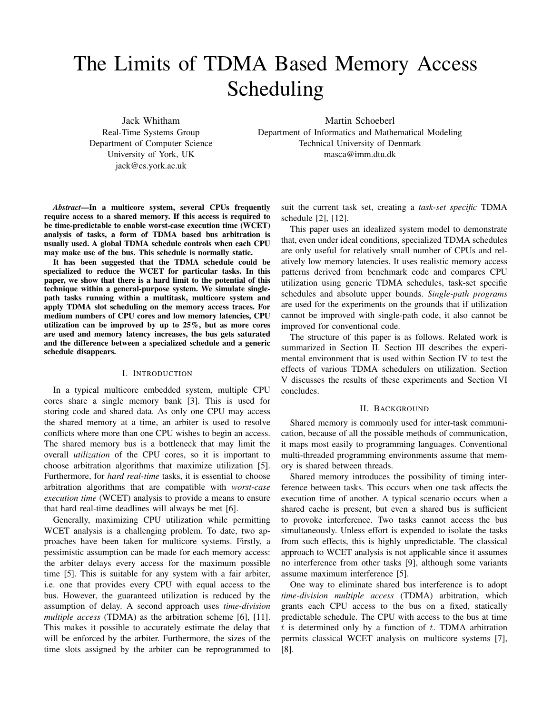# The Limits of TDMA Based Memory Access Scheduling

Jack Whitham Real-Time Systems Group Department of Computer Science University of York, UK jack@cs.york.ac.uk

Martin Schoeberl Department of Informatics and Mathematical Modeling Technical University of Denmark masca@imm.dtu.dk

*Abstract*—In a multicore system, several CPUs frequently require access to a shared memory. If this access is required to be time-predictable to enable worst-case execution time (WCET) analysis of tasks, a form of TDMA based bus arbitration is usually used. A global TDMA schedule controls when each CPU may make use of the bus. This schedule is normally static.

It has been suggested that the TDMA schedule could be specialized to reduce the WCET for particular tasks. In this paper, we show that there is a hard limit to the potential of this technique within a general-purpose system. We simulate singlepath tasks running within a multitask, multicore system and apply TDMA slot scheduling on the memory access traces. For medium numbers of CPU cores and low memory latencies, CPU utilization can be improved by up to 25%, but as more cores are used and memory latency increases, the bus gets saturated and the difference between a specialized schedule and a generic schedule disappears.

#### I. INTRODUCTION

In a typical multicore embedded system, multiple CPU cores share a single memory bank [3]. This is used for storing code and shared data. As only one CPU may access the shared memory at a time, an arbiter is used to resolve conflicts where more than one CPU wishes to begin an access. The shared memory bus is a bottleneck that may limit the overall *utilization* of the CPU cores, so it is important to choose arbitration algorithms that maximize utilization [5]. Furthermore, for *hard real-time* tasks, it is essential to choose arbitration algorithms that are compatible with *worst-case execution time* (WCET) analysis to provide a means to ensure that hard real-time deadlines will always be met [6].

Generally, maximizing CPU utilization while permitting WCET analysis is a challenging problem. To date, two approaches have been taken for multicore systems. Firstly, a pessimistic assumption can be made for each memory access: the arbiter delays every access for the maximum possible time [5]. This is suitable for any system with a fair arbiter, i.e. one that provides every CPU with equal access to the bus. However, the guaranteed utilization is reduced by the assumption of delay. A second approach uses *time-division multiple access* (TDMA) as the arbitration scheme [6], [11]. This makes it possible to accurately estimate the delay that will be enforced by the arbiter. Furthermore, the sizes of the time slots assigned by the arbiter can be reprogrammed to suit the current task set, creating a *task-set specific* TDMA schedule [2], [12].

This paper uses an idealized system model to demonstrate that, even under ideal conditions, specialized TDMA schedules are only useful for relatively small number of CPUs and relatively low memory latencies. It uses realistic memory access patterns derived from benchmark code and compares CPU utilization using generic TDMA schedules, task-set specific schedules and absolute upper bounds. *Single-path programs* are used for the experiments on the grounds that if utilization cannot be improved with single-path code, it also cannot be improved for conventional code.

The structure of this paper is as follows. Related work is summarized in Section II. Section III describes the experimental environment that is used within Section IV to test the effects of various TDMA schedulers on utilization. Section V discusses the results of these experiments and Section VI concludes.

## II. BACKGROUND

Shared memory is commonly used for inter-task communication, because of all the possible methods of communication, it maps most easily to programming languages. Conventional multi-threaded programming environments assume that memory is shared between threads.

Shared memory introduces the possibility of timing interference between tasks. This occurs when one task affects the execution time of another. A typical scenario occurs when a shared cache is present, but even a shared bus is sufficient to provoke interference. Two tasks cannot access the bus simultaneously. Unless effort is expended to isolate the tasks from such effects, this is highly unpredictable. The classical approach to WCET analysis is not applicable since it assumes no interference from other tasks [9], although some variants assume maximum interference [5].

One way to eliminate shared bus interference is to adopt *time-division multiple access* (TDMA) arbitration, which grants each CPU access to the bus on a fixed, statically predictable schedule. The CPU with access to the bus at time  $t$  is determined only by a function of  $t$ . TDMA arbitration permits classical WCET analysis on multicore systems [7], [8].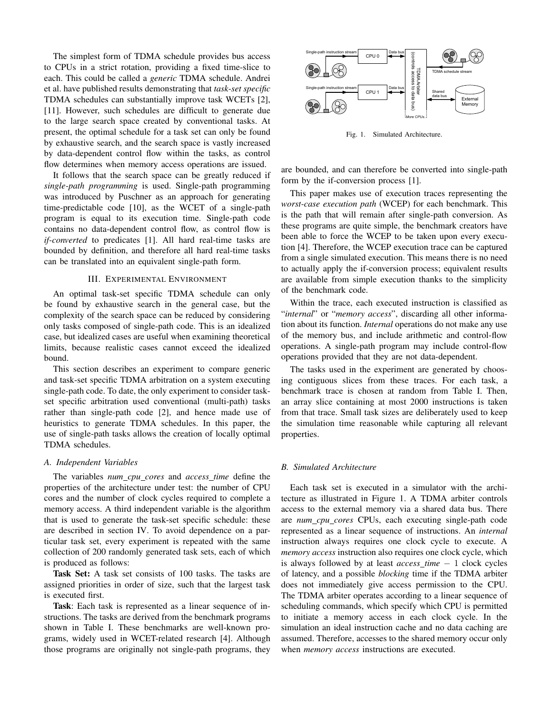The simplest form of TDMA schedule provides bus access to CPUs in a strict rotation, providing a fixed time-slice to each. This could be called a *generic* TDMA schedule. Andrei et al. have published results demonstrating that *task-set specific* TDMA schedules can substantially improve task WCETs [2], [11]. However, such schedules are difficult to generate due to the large search space created by conventional tasks. At present, the optimal schedule for a task set can only be found by exhaustive search, and the search space is vastly increased by data-dependent control flow within the tasks, as control flow determines when memory access operations are issued.

It follows that the search space can be greatly reduced if *single-path programming* is used. Single-path programming was introduced by Puschner as an approach for generating time-predictable code [10], as the WCET of a single-path program is equal to its execution time. Single-path code contains no data-dependent control flow, as control flow is *if-converted* to predicates [1]. All hard real-time tasks are bounded by definition, and therefore all hard real-time tasks can be translated into an equivalent single-path form.

# III. EXPERIMENTAL ENVIRONMENT

An optimal task-set specific TDMA schedule can only be found by exhaustive search in the general case, but the complexity of the search space can be reduced by considering only tasks composed of single-path code. This is an idealized case, but idealized cases are useful when examining theoretical limits, because realistic cases cannot exceed the idealized bound.

This section describes an experiment to compare generic and task-set specific TDMA arbitration on a system executing single-path code. To date, the only experiment to consider taskset specific arbitration used conventional (multi-path) tasks rather than single-path code [2], and hence made use of heuristics to generate TDMA schedules. In this paper, the use of single-path tasks allows the creation of locally optimal TDMA schedules.

## *A. Independent Variables*

The variables *num cpu cores* and *access time* define the properties of the architecture under test: the number of CPU cores and the number of clock cycles required to complete a memory access. A third independent variable is the algorithm that is used to generate the task-set specific schedule: these are described in section IV. To avoid dependence on a particular task set, every experiment is repeated with the same collection of 200 randomly generated task sets, each of which is produced as follows:

Task Set: A task set consists of 100 tasks. The tasks are assigned priorities in order of size, such that the largest task is executed first.

Task: Each task is represented as a linear sequence of instructions. The tasks are derived from the benchmark programs shown in Table I. These benchmarks are well-known programs, widely used in WCET-related research [4]. Although those programs are originally not single-path programs, they



Fig. 1. Simulated Architecture.

are bounded, and can therefore be converted into single-path form by the if-conversion process [1].

This paper makes use of execution traces representing the *worst-case execution path* (WCEP) for each benchmark. This is the path that will remain after single-path conversion. As these programs are quite simple, the benchmark creators have been able to force the WCEP to be taken upon every execution [4]. Therefore, the WCEP execution trace can be captured from a single simulated execution. This means there is no need to actually apply the if-conversion process; equivalent results are available from simple execution thanks to the simplicity of the benchmark code.

Within the trace, each executed instruction is classified as "*internal*" or "*memory access*", discarding all other information about its function. *Internal* operations do not make any use of the memory bus, and include arithmetic and control-flow operations. A single-path program may include control-flow operations provided that they are not data-dependent.

The tasks used in the experiment are generated by choosing contiguous slices from these traces. For each task, a benchmark trace is chosen at random from Table I. Then, an array slice containing at most 2000 instructions is taken from that trace. Small task sizes are deliberately used to keep the simulation time reasonable while capturing all relevant properties.

# *B. Simulated Architecture*

Each task set is executed in a simulator with the architecture as illustrated in Figure 1. A TDMA arbiter controls access to the external memory via a shared data bus. There are *num cpu cores* CPUs, each executing single-path code represented as a linear sequence of instructions. An *internal* instruction always requires one clock cycle to execute. A *memory access* instruction also requires one clock cycle, which is always followed by at least *access time* − 1 clock cycles of latency, and a possible *blocking* time if the TDMA arbiter does not immediately give access permission to the CPU. The TDMA arbiter operates according to a linear sequence of scheduling commands, which specify which CPU is permitted to initiate a memory access in each clock cycle. In the simulation an ideal instruction cache and no data caching are assumed. Therefore, accesses to the shared memory occur only when *memory access* instructions are executed.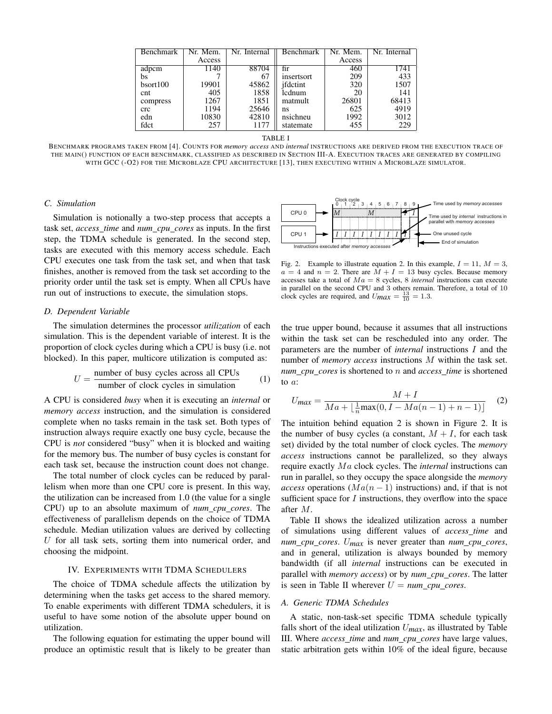| Benchmark | Nr. Mem. | Nr. Internal | Benchmark  | Nr. Mem. | Nr. Internal |
|-----------|----------|--------------|------------|----------|--------------|
|           | Access   |              |            | Access   |              |
| adpcm     | 1140     | 88704        | fir        | 460      | 1741         |
| bs        |          | 67           | insertsort | 209      | 433          |
| bsort100  | 19901    | 45862        | ifdctint   | 320      | 1507         |
| cnt       | 405      | 1858         | lcdnum     | 20       | 141          |
| compress  | 1267     | 1851         | matmult    | 26801    | 68413        |
| crc       | 1194     | 25646        | ns         | 625      | 4919         |
| edn       | 10830    | 42810        | nsichneu   | 1992     | 3012         |
| fdct      | 257      | 1177         | statemate  | 455      | 229          |

TABLE I

BENCHMARK PROGRAMS TAKEN FROM [4]. COUNTS FOR *memory access* AND *internal* INSTRUCTIONS ARE DERIVED FROM THE EXECUTION TRACE OF THE MAIN() FUNCTION OF EACH BENCHMARK, CLASSIFIED AS DESCRIBED IN SECTION III-A. EXECUTION TRACES ARE GENERATED BY COMPILING WITH GCC (-O2) FOR THE MICROBLAZE CPU ARCHITECTURE [13], THEN EXECUTING WITHIN A MICROBLAZE SIMULATOR.

# *C. Simulation*

Simulation is notionally a two-step process that accepts a task set, *access time* and *num cpu cores* as inputs. In the first step, the TDMA schedule is generated. In the second step, tasks are executed with this memory access schedule. Each CPU executes one task from the task set, and when that task finishes, another is removed from the task set according to the priority order until the task set is empty. When all CPUs have run out of instructions to execute, the simulation stops.



Fig. 2. Example to illustrate equation 2. In this example,  $I = 11$ ,  $M = 3$ ,  $a = 4$  and  $n = 2$ . There are  $\dot{M} + I = 13$  busy cycles. Because memory accesses take a total of  $Ma = 8$  cycles, 8 *internal* instructions can execute in parallel on the second CPU and 3 others remain. Therefore, a total of 10 clock cycles are required, and  $U_{max} = \frac{13}{10} = 1.3$ .

# *D. Dependent Variable*

The simulation determines the processor *utilization* of each simulation. This is the dependent variable of interest. It is the proportion of clock cycles during which a CPU is busy (i.e. not blocked). In this paper, multicore utilization is computed as:

$$
U = \frac{\text{number of busy cycles across all CPUs}}{\text{number of clock cycles in simulation}} \tag{1}
$$

A CPU is considered *busy* when it is executing an *internal* or *memory access* instruction, and the simulation is considered complete when no tasks remain in the task set. Both types of instruction always require exactly one busy cycle, because the CPU is *not* considered "busy" when it is blocked and waiting for the memory bus. The number of busy cycles is constant for each task set, because the instruction count does not change.

The total number of clock cycles can be reduced by parallelism when more than one CPU core is present. In this way, the utilization can be increased from 1.0 (the value for a single CPU) up to an absolute maximum of *num cpu cores*. The effectiveness of parallelism depends on the choice of TDMA schedule. Median utilization values are derived by collecting  $U$  for all task sets, sorting them into numerical order, and choosing the midpoint.

# IV. EXPERIMENTS WITH TDMA SCHEDULERS

The choice of TDMA schedule affects the utilization by determining when the tasks get access to the shared memory. To enable experiments with different TDMA schedulers, it is useful to have some notion of the absolute upper bound on utilization.

The following equation for estimating the upper bound will produce an optimistic result that is likely to be greater than the true upper bound, because it assumes that all instructions within the task set can be rescheduled into any order. The parameters are the number of *internal* instructions I and the number of *memory access* instructions M within the task set. *num cpu cores* is shortened to n and *access time* is shortened to a:

$$
U_{\text{max}} = \frac{M + I}{Ma + \lfloor \frac{1}{n} \max(0, I - Ma(n-1) + n - 1) \rfloor} \tag{2}
$$

The intuition behind equation 2 is shown in Figure 2. It is the number of busy cycles (a constant,  $M + I$ , for each task set) divided by the total number of clock cycles. The *memory access* instructions cannot be parallelized, so they always require exactly Ma clock cycles. The *internal* instructions can run in parallel, so they occupy the space alongside the *memory access* operations ( $Ma(n - 1)$  instructions) and, if that is not sufficient space for  $I$  instructions, they overflow into the space after M.

Table II shows the idealized utilization across a number of simulations using different values of *access time* and *num cpu cores*. U*max* is never greater than *num cpu cores*, and in general, utilization is always bounded by memory bandwidth (if all *internal* instructions can be executed in parallel with *memory access*) or by *num cpu cores*. The latter is seen in Table II wherever  $U = num\_cpu\_cores$ .

## *A. Generic TDMA Schedules*

A static, non-task-set specific TDMA schedule typically falls short of the ideal utilization  $U_{max}$ , as illustrated by Table III. Where *access time* and *num cpu cores* have large values, static arbitration gets within 10% of the ideal figure, because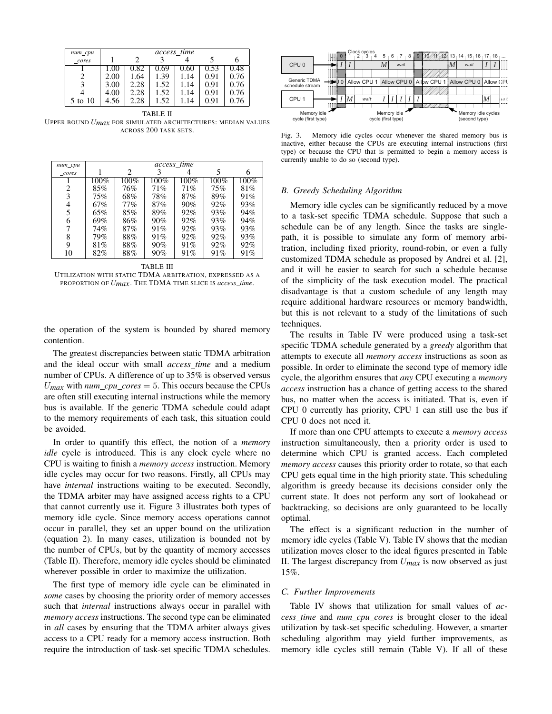| $num\_cpu$ | access_time |      |      |      |      |      |  |  |
|------------|-------------|------|------|------|------|------|--|--|
| cores      |             |      |      |      |      |      |  |  |
|            | 1.OU        | 0.82 | 0.69 | 0.60 | 0.53 | 0.48 |  |  |
|            | 2.00        | 1.64 | 1.39 | 1.14 | 0.91 | 0.76 |  |  |
|            | 3.00        | 2.28 | 1.52 | 1.14 | 0.91 | 0.76 |  |  |
|            | 4.00        | 2.28 | 1.52 | 1.14 | 0.91 | 0.76 |  |  |
| 5 to 10    | 4.56        | 2.28 | 1.52 | 14   | 0.91 | 0.76 |  |  |

TABLE II UPPER BOUND U*max* FOR SIMULATED ARCHITECTURES: MEDIAN VALUES ACROSS 200 TASK SETS.

| $num\_cpu$ |         |      | access time |      |         |         |
|------------|---------|------|-------------|------|---------|---------|
| cores      |         | 2    |             |      |         |         |
|            | $100\%$ | 100% | 100%        | 100% | $100\%$ | $100\%$ |
| 2          | 85%     | 76%  | 71%         | 71%  | 75%     | 81%     |
| 3          | 75%     | 68%  | 78%         | 87%  | 89%     | 91%     |
| 4          | 67%     | 77%  | 87%         | 90%  | 92%     | 93%     |
| 5          | 65%     | 85%  | 89%         | 92%  | 93%     | 94%     |
| 6          | 69%     | 86%  | 90%         | 92%  | 93%     | 94%     |
|            | 74%     | 87%  | 91%         | 92%  | 93%     | 93%     |
| 8          | 79%     | 88%  | 91%         | 92%  | 92%     | 93%     |
| 9          | 81%     | 88%  | 90%         | 91%  | 92%     | 92%     |
| 10         | 82%     | 88%  | 90%         | 91%  | 91%     | 91%     |

TABLE III

UTILIZATION WITH STATIC TDMA ARBITRATION, EXPRESSED AS A PROPORTION OF U*max*. THE TDMA TIME SLICE IS *access time*.

the operation of the system is bounded by shared memory contention.

The greatest discrepancies between static TDMA arbitration and the ideal occur with small *access time* and a medium number of CPUs. A difference of up to 35% is observed versus  $U_{max}$  with  $num\_cpu\_cores = 5$ . This occurs because the CPUs are often still executing internal instructions while the memory bus is available. If the generic TDMA schedule could adapt to the memory requirements of each task, this situation could be avoided.

In order to quantify this effect, the notion of a *memory idle* cycle is introduced. This is any clock cycle where no CPU is waiting to finish a *memory access* instruction. Memory idle cycles may occur for two reasons. Firstly, all CPUs may have *internal* instructions waiting to be executed. Secondly, the TDMA arbiter may have assigned access rights to a CPU that cannot currently use it. Figure 3 illustrates both types of memory idle cycle. Since memory access operations cannot occur in parallel, they set an upper bound on the utilization (equation 2). In many cases, utilization is bounded not by the number of CPUs, but by the quantity of memory accesses (Table II). Therefore, memory idle cycles should be eliminated wherever possible in order to maximize the utilization.

The first type of memory idle cycle can be eliminated in *some* cases by choosing the priority order of memory accesses such that *internal* instructions always occur in parallel with *memory access* instructions. The second type can be eliminated in *all* cases by ensuring that the TDMA arbiter always gives access to a CPU ready for a memory access instruction. Both require the introduction of task-set specific TDMA schedules.



Fig. 3. Memory idle cycles occur whenever the shared memory bus is inactive, either because the CPUs are executing internal instructions (first type) or because the CPU that is permitted to begin a memory access is currently unable to do so (second type).

## *B. Greedy Scheduling Algorithm*

Memory idle cycles can be significantly reduced by a move to a task-set specific TDMA schedule. Suppose that such a schedule can be of any length. Since the tasks are singlepath, it is possible to simulate any form of memory arbitration, including fixed priority, round-robin, or even a fully customized TDMA schedule as proposed by Andrei et al. [2], and it will be easier to search for such a schedule because of the simplicity of the task execution model. The practical disadvantage is that a custom schedule of any length may require additional hardware resources or memory bandwidth, but this is not relevant to a study of the limitations of such techniques.

The results in Table IV were produced using a task-set specific TDMA schedule generated by a *greedy* algorithm that attempts to execute all *memory access* instructions as soon as possible. In order to eliminate the second type of memory idle cycle, the algorithm ensures that *any* CPU executing a *memory access* instruction has a chance of getting access to the shared bus, no matter when the access is initiated. That is, even if CPU 0 currently has priority, CPU 1 can still use the bus if CPU 0 does not need it.

If more than one CPU attempts to execute a *memory access* instruction simultaneously, then a priority order is used to determine which CPU is granted access. Each completed *memory access* causes this priority order to rotate, so that each CPU gets equal time in the high priority state. This scheduling algorithm is greedy because its decisions consider only the current state. It does not perform any sort of lookahead or backtracking, so decisions are only guaranteed to be locally optimal.

The effect is a significant reduction in the number of memory idle cycles (Table V). Table IV shows that the median utilization moves closer to the ideal figures presented in Table II. The largest discrepancy from U*max* is now observed as just 15%.

## *C. Further Improvements*

Table IV shows that utilization for small values of *access time* and *num cpu cores* is brought closer to the ideal utilization by task-set specific scheduling. However, a smarter scheduling algorithm may yield further improvements, as memory idle cycles still remain (Table V). If all of these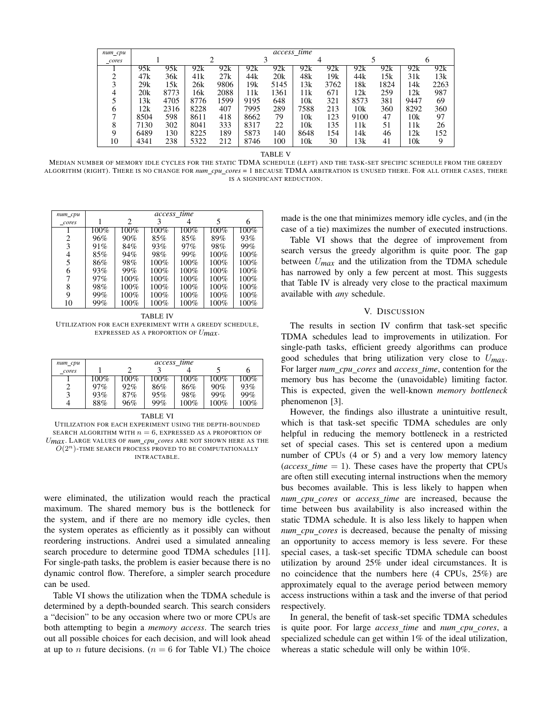| $num\_cpu$ | access time |      |      |      |      |      |      |      |      |      |      |      |
|------------|-------------|------|------|------|------|------|------|------|------|------|------|------|
| cores      |             |      |      |      |      |      |      | 4    |      |      |      |      |
|            | 95k         | 95k  | 92k  | 92k  | 92k  | 92k  | 92k  | 92k  | 92k  | 92k  | 92k  | 92k  |
| ◠          | 47k         | 36k  | 41k  | 27k  | 44k  | 20k  | 48k  | 19k  | 44k  | 15k  | 31k  | 13k  |
|            | 29k         | 15k  | 26k  | 9806 | 19k  | 5145 | 13k  | 3762 | 18k  | 1824 | 14k  | 2263 |
| 4          | 20k         | 8773 | 16k  | 2088 | 11k  | 1361 | 11k  | 671  | 12k  | 259  | 12k  | 987  |
|            | 13k         | 4705 | 8776 | 1599 | 9195 | 648  | 10k  | 321  | 8573 | 381  | 9447 | 69   |
| 6          | 12k         | 2316 | 8228 | 407  | 7995 | 289  | 7588 | 213  | 10k  | 360  | 8292 | 360  |
|            | 8504        | 598  | 8611 | 418  | 8662 | 79   | 10k  | 123  | 9100 | 47   | 10k  | 97   |
| 8          | 7130        | 302  | 8041 | 333  | 8317 | 22   | 10k  | 135  | 11k  | 51   | 11k  | 26   |
| Q          | 6489        | 130  | 8225 | 189  | 5873 | 140  | 8648 | 154  | 14k  | 46   | 12k  | 152  |
| 10         | 4341        | 238  | 5322 | 212  | 8746 | 100  | 10k  | 30   | 13k  | 41   | 10k  | 9    |

TABLE V

MEDIAN NUMBER OF MEMORY IDLE CYCLES FOR THE STATIC TDMA SCHEDULE (LEFT) AND THE TASK-SET SPECIFIC SCHEDULE FROM THE GREEDY ALGORITHM (RIGHT). THERE IS NO CHANGE FOR *num cpu cores* = 1 BECAUSE TDMA ARBITRATION IS UNUSED THERE. FOR ALL OTHER CASES, THERE IS A SIGNIFICANT REDUCTION.

| $num\_cpu$ | access_time |         |         |         |         |      |  |
|------------|-------------|---------|---------|---------|---------|------|--|
| _cores     |             | 2       |         |         | 5       | 6    |  |
|            | $100\%$     | $100\%$ | 100%    | $100\%$ | $100\%$ | 100% |  |
| 2          | 96%         | 90%     | 85%     | 85%     | 89%     | 93%  |  |
| 3          | 91%         | 84%     | 93%     | 97%     | 98%     | 99%  |  |
| 4          | 85%         | 94%     | 98%     | 99%     | $100\%$ | 100% |  |
| 5          | 86%         | 98%     | 100%    | 100%    | 100%    | 100% |  |
| 6          | 93%         | 99%     | 100%    | 100%    | 100%    | 100% |  |
|            | 97%         | 100%    | $100\%$ | $100\%$ | $100\%$ | 100% |  |
| 8          | 98%         | $100\%$ | 100%    | $100\%$ | $100\%$ | 100% |  |
| 9          | 99%         | 100%    | 100%    | $100\%$ | 100%    | 100% |  |
| 10         | 99%         | 100%    | 100%    | 100%    | 100%    | 100% |  |

TABLE IV UTILIZATION FOR EACH EXPERIMENT WITH A GREEDY SCHEDULE, EXPRESSED AS A PROPORTION OF U*max*.

| num_cpu | access time |      |      |      |      |      |  |  |
|---------|-------------|------|------|------|------|------|--|--|
| cores   |             |      |      |      |      | h    |  |  |
|         | 100%        | 100% | 100% | 100% | 100% | 100% |  |  |
|         | 97%         | 92%  | 86%  | 86%  | 90%  | 93%  |  |  |
| 3       | 93%         | 87%  | 95%  | 98%  | 99%  | 99%  |  |  |
| 4       | 88%         | 96%  | 99%  | 100% | 100% | 100% |  |  |

| TADLE VI                                                            |
|---------------------------------------------------------------------|
| UTILIZATION FOR EACH EXPERIMENT USING THE DEPTH-BOUNDED             |
| SEARCH ALGORITHM WITH $n = 6$ , EXPRESSED AS A PROPORTION OF        |
| $U_{max}$ . LARGE VALUES OF num_cpu_cores ARE NOT SHOWN HERE AS THE |
| $O(2^n)$ -TIME SEARCH PROCESS PROVED TO BE COMPUTATIONALLY          |
| INTRACTABLE.                                                        |
|                                                                     |

TABLE VI

were eliminated, the utilization would reach the practical maximum. The shared memory bus is the bottleneck for the system, and if there are no memory idle cycles, then the system operates as efficiently as it possibly can without reordering instructions. Andrei used a simulated annealing search procedure to determine good TDMA schedules [11]. For single-path tasks, the problem is easier because there is no dynamic control flow. Therefore, a simpler search procedure can be used.

Table VI shows the utilization when the TDMA schedule is determined by a depth-bounded search. This search considers a "decision" to be any occasion where two or more CPUs are both attempting to begin a *memory access*. The search tries out all possible choices for each decision, and will look ahead at up to *n* future decisions. ( $n = 6$  for Table VI.) The choice made is the one that minimizes memory idle cycles, and (in the case of a tie) maximizes the number of executed instructions.

Table VI shows that the degree of improvement from search versus the greedy algorithm is quite poor. The gap between U*max* and the utilization from the TDMA schedule has narrowed by only a few percent at most. This suggests that Table IV is already very close to the practical maximum available with *any* schedule.

# V. DISCUSSION

The results in section IV confirm that task-set specific TDMA schedules lead to improvements in utilization. For single-path tasks, efficient greedy algorithms can produce good schedules that bring utilization very close to U*max*. For larger *num cpu cores* and *access time*, contention for the memory bus has become the (unavoidable) limiting factor. This is expected, given the well-known *memory bottleneck* phenomenon [3].

However, the findings also illustrate a unintuitive result, which is that task-set specific TDMA schedules are only helpful in reducing the memory bottleneck in a restricted set of special cases. This set is centered upon a medium number of CPUs (4 or 5) and a very low memory latency  $(access_time = 1)$ . These cases have the property that CPUs are often still executing internal instructions when the memory bus becomes available. This is less likely to happen when *num cpu cores* or *access time* are increased, because the time between bus availability is also increased within the static TDMA schedule. It is also less likely to happen when *num cpu cores* is decreased, because the penalty of missing an opportunity to access memory is less severe. For these special cases, a task-set specific TDMA schedule can boost utilization by around 25% under ideal circumstances. It is no coincidence that the numbers here (4 CPUs, 25%) are approximately equal to the average period between memory access instructions within a task and the inverse of that period respectively.

In general, the benefit of task-set specific TDMA schedules is quite poor. For large *access time* and *num cpu cores*, a specialized schedule can get within 1% of the ideal utilization, whereas a static schedule will only be within 10%.